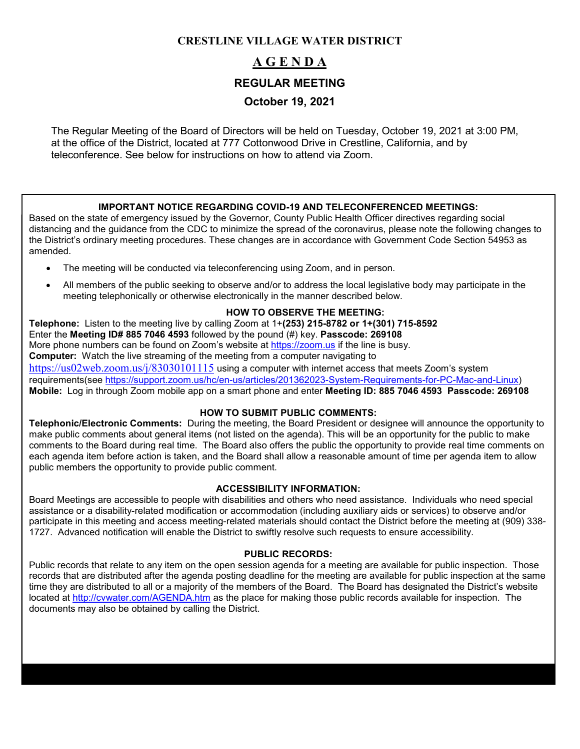# **CRESTLINE VILLAGE WATER DISTRICT**

# **A G E N D A**

### **REGULAR MEETING**

# **October 19, 2021**

The Regular Meeting of the Board of Directors will be held on Tuesday, October 19, 2021 at 3:00 PM, at the office of the District, located at 777 Cottonwood Drive in Crestline, California, and by teleconference. See below for instructions on how to attend via Zoom.

### **IMPORTANT NOTICE REGARDING COVID-19 AND TELECONFERENCED MEETINGS:**

Based on the state of emergency issued by the Governor, County Public Health Officer directives regarding social distancing and the guidance from the CDC to minimize the spread of the coronavirus, please note the following changes to the District's ordinary meeting procedures. These changes are in accordance with Government Code Section 54953 as amended.

- The meeting will be conducted via teleconferencing using Zoom, and in person.
- All members of the public seeking to observe and/or to address the local legislative body may participate in the meeting telephonically or otherwise electronically in the manner described below.

### **HOW TO OBSERVE THE MEETING:**

**Telephone:** Listen to the meeting live by calling Zoom at 1+**(253) 215-8782 or 1+(301) 715-8592** Enter the **Meeting ID# 885 7046 4593** followed by the pound (#) key. **Passcode: 269108** More phone numbers can be found on Zoom's website at [https://zoom.us](https://zoom.us/) if the line is busy. **Computer:** Watch the live streaming of the meeting from a computer navigating to <https://us02web.zoom.us/j/83030101115> using a computer with internet access that meets Zoom's system requirements(see [https://support.zoom.us/hc/en-us/articles/201362023-System-Requirements-for-PC-Mac-and-Linux\)](https://support.zoom.us/hc/en-us/articles/201362023-System-Requirements-for-PC-Mac-and-Linux) **Mobile:** Log in through Zoom mobile app on a smart phone and enter **Meeting ID: 885 7046 4593 Passcode: 269108**

### **HOW TO SUBMIT PUBLIC COMMENTS:**

**Telephonic/Electronic Comments:** During the meeting, the Board President or designee will announce the opportunity to make public comments about general items (not listed on the agenda). This will be an opportunity for the public to make comments to the Board during real time. The Board also offers the public the opportunity to provide real time comments on each agenda item before action is taken, and the Board shall allow a reasonable amount of time per agenda item to allow public members the opportunity to provide public comment.

### **ACCESSIBILITY INFORMATION:**

Board Meetings are accessible to people with disabilities and others who need assistance. Individuals who need special assistance or a disability-related modification or accommodation (including auxiliary aids or services) to observe and/or participate in this meeting and access meeting-related materials should contact the District before the meeting at (909) 338- 1727. Advanced notification will enable the District to swiftly resolve such requests to ensure accessibility.

### **PUBLIC RECORDS:**

Public records that relate to any item on the open session agenda for a meeting are available for public inspection. Those records that are distributed after the agenda posting deadline for the meeting are available for public inspection at the same time they are distributed to all or a majority of the members of the Board. The Board has designated the District's website located at<http://cvwater.com/AGENDA.htm> as the place for making those public records available for inspection. The documents may also be obtained by calling the District.